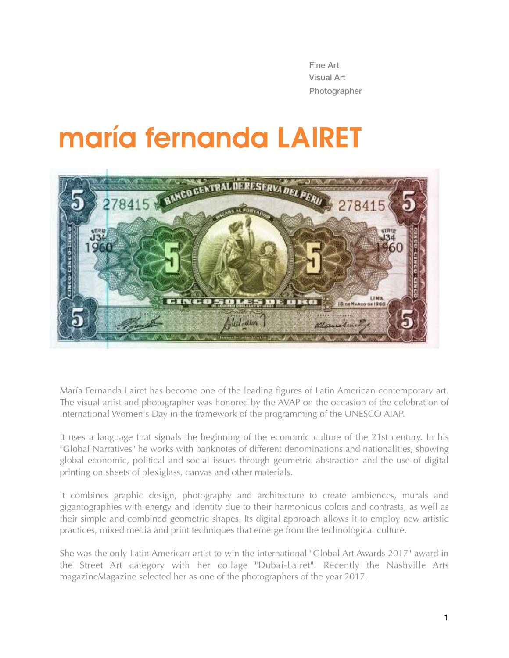Fine Art Visual Art Photographer

# maría fernanda LAIRET



María Fernanda Lairet has become one of the leading figures of Latin American contemporary art. The visual artist and photographer was honored by the AVAP on the occasion of the celebration of International Women's Day in the framework of the programming of the UNESCO AIAP.

It uses a language that signals the beginning of the economic culture of the 21st century. In his "Global Narratives" he works with banknotes of different denominations and nationalities, showing global economic, political and social issues through geometric abstraction and the use of digital printing on sheets of plexiglass, canvas and other materials.

It combines graphic design, photography and architecture to create ambiences, murals and gigantographies with energy and identity due to their harmonious colors and contrasts, as well as their simple and combined geometric shapes. Its digital approach allows it to employ new artistic practices, mixed media and print techniques that emerge from the technological culture.

She was the only Latin American artist to win the international "Global Art Awards 2017" award in the Street Art category with her collage "Dubai-Lairet". Recently the Nashville Arts magazineMagazine selected her as one of the photographers of the year 2017.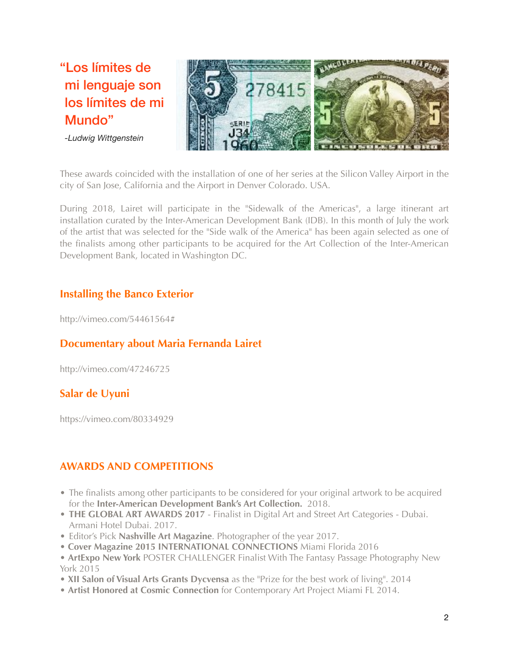"Los límites de mi lenguaje son los límites de mi Mundo"

*-Ludwig Wittgenstein* 



These awards coincided with the installation of one of her series at the Silicon Valley Airport in the city of San Jose, California and the Airport in Denver Colorado. USA.

During 2018, Lairet will participate in the "Sidewalk of the Americas", a large itinerant art installation curated by the Inter-American Development Bank (IDB). In this month of July the work of the artist that was selected for the "Side walk of the America" has been again selected as one of the finalists among other participants to be acquired for the Art Collection of the Inter-American Development Bank, located in Washington DC.

### **Installing the Banco Exterior**

http://vimeo.com/54461564#

### **Documentary about Maria Fernanda Lairet**

http://vimeo.com/47246725

#### **Salar de Uyuni**

<https://vimeo.com/80334929>

### **AWARDS AND COMPETITIONS**

- The finalists among other participants to be considered for your original artwork to be acquired for the **Inter-American Development Bank's Art Collection.** 2018.
- **THE GLOBAL ART AWARDS 2017** Finalist in Digital Art and Street Art Categories Dubai. Armani Hotel Dubai. 2017.
- Editor's Pick **Nashville Art Magazine**. Photographer of the year 2017.
- **Cover Magazine 2015 INTERNATIONAL CONNECTIONS** Miami Florida 2016
- **ArtExpo New York** POSTER CHALLENGER Finalist With The Fantasy Passage Photography New York 2015
- **XII Salon of Visual Arts Grants Dycvensa** as the "Prize for the best work of living". 2014
- **Artist Honored at Cosmic Connection** for Contemporary Art Project Miami FL 2014.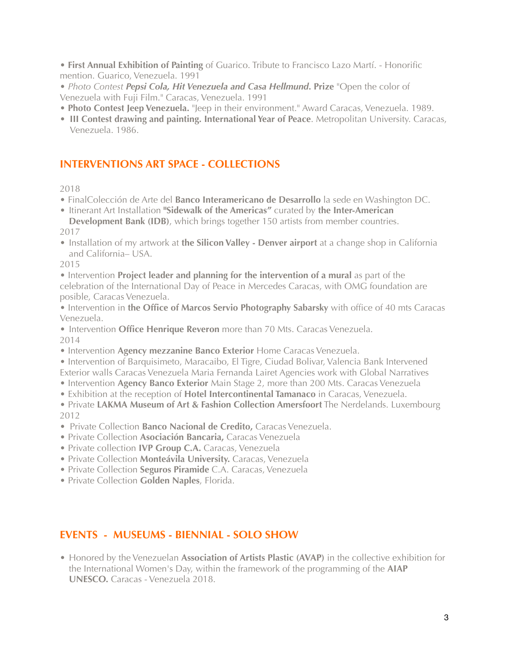• **First Annual Exhibition of Painting** of Guarico. Tribute to Francisco Lazo Martí. - Honorific mention. Guarico, Venezuela. 1991

• *Photo Contest Pepsi Cola, Hit Venezuela and Casa Hellmund***. Prize** "Open the color of Venezuela with Fuji Film." Caracas, Venezuela. 1991

- **Photo Contest Jeep Venezuela.** "Jeep in their environment." Award Caracas, Venezuela. 1989.
- **III Contest drawing and painting. International Year of Peace**. Metropolitan University. Caracas, Venezuela. 1986.

### **INTERVENTIONS ART SPACE - COLLECTIONS**

2018

- FinalColección de Arte del **Banco Interamericano de Desarrollo** la sede en Washington DC.
- Itinerant Art Installation **"Sidewalk of the Americas"** curated by **the Inter-American Development Bank (IDB)**, which brings together 150 artists from member countries.

2017

• Installation of my artwork at **the Silicon Valley - Denver airport** at a change shop in California and California– USA.

2015

• Intervention **Project leader and planning for the intervention of a mural** as part of the celebration of the International Day of Peace in Mercedes Caracas, with OMG foundation are posible, Caracas Venezuela.

- Intervention in **the Office of Marcos Servio Photography Sabarsky** with office of 40 mts Caracas Venezuela.
- Intervention **Office Henrique Reveron** more than 70 Mts. Caracas Venezuela. 2014
- Intervention **Agency mezzanine Banco Exterior** Home Caracas Venezuela.
- Intervention of Barquisimeto, Maracaibo, El Tigre, Ciudad Bolivar, Valencia Bank Intervened Exterior walls Caracas Venezuela Maria Fernanda Lairet Agencies work with Global Narratives
- Intervention **Agency Banco Exterior** Main Stage 2, more than 200 Mts. Caracas Venezuela
- Exhibition at the reception of **Hotel Intercontinental Tamanaco** in Caracas, Venezuela.

• Private **LAKMA Museum of Art & Fashion Collection Amersfoort** The Nerdelands. Luxembourg 2012

- Private Collection **Banco Nacional de Credito,** Caracas Venezuela.
- Private Collection **Asociación Bancaria,** Caracas Venezuela
- Private collection **IVP Group C.A.** Caracas, Venezuela
- Private Collection **Monteávila University.** Caracas, Venezuela
- Private Collection **Seguros Piramide** C.A. Caracas, Venezuela
- Private Collection **Golden Naples**, Florida.

### **EVENTS - MUSEUMS - BIENNIAL - SOLO SHOW**

• Honored by the Venezuelan **Association of Artists Plastic (AVAP)** in the collective exhibition for the International Women's Day, within the framework of the programming of the **AIAP UNESCO.** Caracas - Venezuela 2018.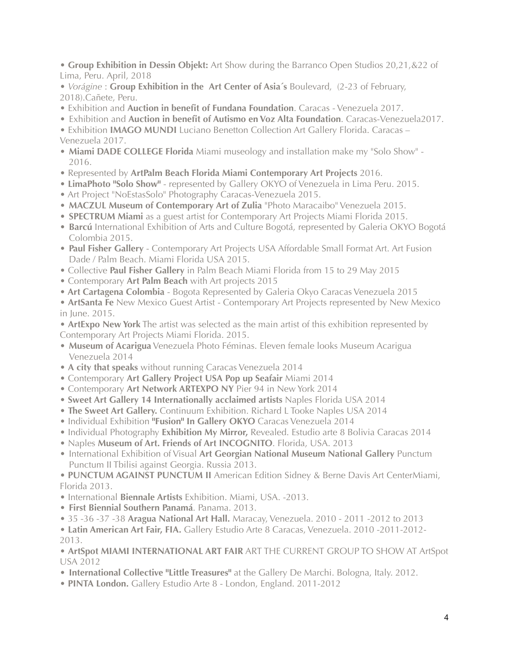• **Group Exhibition in Dessin Objekt:** Art Show during the Barranco Open Studios 20,21,&22 of Lima, Peru. April, 2018

• *Vorágine* : **Group Exhibition in the Art Center of Asia´s** Boulevard, (2-23 of February, 2018).Cañete, Peru.

- Exhibition and **Auction in benefit of Fundana Foundation**. Caracas Venezuela 2017.
- Exhibition and **Auction in benefit of Autismo en Voz Alta Foundation**. Caracas-Venezuela2017.

• Exhibition **IMAGO MUNDI** Luciano Benetton Collection Art Gallery Florida. Caracas – Venezuela 2017.

- **Miami DADE COLLEGE Florida** Miami museology and installation make my "Solo Show" 2016.
- Represented by **ArtPalm Beach Florida Miami Contemporary Art Projects** 2016.
- **LimaPhoto "Solo Show"** represented by Gallery OKYO of Venezuela in Lima Peru. 2015.
- Art Project "NoEstasSolo" Photography Caracas-Venezuela 2015.
- **MACZUL Museum of Contemporary Art of Zulia** "Photo Maracaibo" Venezuela 2015.
- **SPECTRUM Miami** as a guest artist for Contemporary Art Projects Miami Florida 2015.
- **Barcú** International Exhibition of Arts and Culture Bogotá, represented by Galeria OKYO Bogotá Colombia 2015.
- **Paul Fisher Gallery**  Contemporary Art Projects USA Affordable Small Format Art. Art Fusion Dade / Palm Beach. Miami Florida USA 2015.
- Collective **Paul Fisher Gallery** in Palm Beach Miami Florida from 15 to 29 May 2015
- Contemporary **Art Palm Beach** with Art projects 2015
- • **Art Cartagena Colombia** Bogota Represented by Galeria Okyo Caracas Venezuela 2015
- **ArtSanta Fe** New Mexico Guest Artist Contemporary Art Projects represented by New Mexico in June. 2015.

• **ArtExpo New York** The artist was selected as the main artist of this exhibition represented by Contemporary Art Projects Miami Florida. 2015.

- **Museum of Acarigua** Venezuela Photo Féminas. Eleven female looks Museum Acarigua Venezuela 2014
- **A city that speaks** without running Caracas Venezuela 2014
- Contemporary **Art Gallery Project USA Pop up Seafair** Miami 2014
- Contemporary **Art Network ARTEXPO NY** Pier 94 in New York 2014
- **Sweet Art Gallery 14 Internationally acclaimed artists** Naples Florida USA 2014
- **The Sweet Art Gallery.** Continuum Exhibition. Richard L Tooke Naples USA 2014
- Individual Exhibition **"Fusion" In Gallery OKYO** Caracas Venezuela 2014
- Individual Photography **Exhibition My Mirror,** Revealed. Estudio arte 8 Bolivia Caracas 2014
- Naples **Museum of Art. Friends of Art INCOGNITO**. Florida, USA. 2013
- International Exhibition of Visual **Art Georgian National Museum National Gallery** Punctum Punctum II Tbilisi against Georgia. Russia 2013.

• **PUNCTUM AGAINST PUNCTUM II** American Edition Sidney & Berne Davis Art CenterMiami, Florida 2013.

- International **Biennale Artists** Exhibition. Miami, USA. -2013.
- **First Biennial Southern Panamá**. Panama. 2013.
- 35 -36 -37 -38 **Aragua National Art Hall.** Maracay, Venezuela. 2010 2011 -2012 to 2013

• **Latin American Art Fair, FIA.** Gallery Estudio Arte 8 Caracas, Venezuela. 2010 -2011-2012- 2013.

• **ArtSpot MIAMI INTERNATIONAL ART FAIR** ART THE CURRENT GROUP TO SHOW AT ArtSpot USA 2012

- **International Collective "Little Treasures"** at the Gallery De Marchi. Bologna, Italy. 2012.
- **PINTA London.** Gallery Estudio Arte 8 London, England. 2011-2012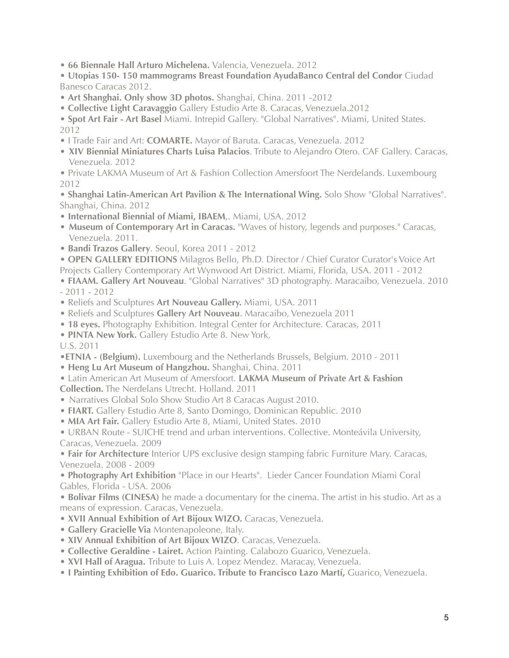- **66 Biennale Hall Arturo Michelena.** Valencia, Venezuela. 2012
- **Utopias 150- 150 mammograms Breast Foundation AyudaBanco Central del Condor** Ciudad Banesco Caracas 2012.
- **Art Shanghai. Only show 3D photos.** Shanghai, China. 2011 -2012
- **Collective Light Caravaggio** Gallery Estudio Arte 8. Caracas, Venezuela.2012
- **Spot Art Fair Art Basel** Miami. Intrepid Gallery. "Global Narratives". Miami, United States. 2012
- I Trade Fair and Art: **COMARTE.** Mayor of Baruta. Caracas, Venezuela. 2012
- **XIV Biennial Miniatures Charts Luisa Palacios**. Tribute to Alejandro Otero. CAF Gallery. Caracas, Venezuela. 2012

• Private LAKMA Museum of Art & Fashion Collection Amersfoort The Nerdelands. Luxembourg 2012

• **Shanghai Latin-American Art Pavilion & The International Wing.** Solo Show "Global Narratives". Shanghai, China. 2012

- **International Biennial of Miami, IBAEM**,. Miami, USA. 2012
- **Museum of Contemporary Art in Caracas.** "Waves of history, legends and purposes." Caracas, Venezuela. 2011.
- **Bandi Trazos Gallery**. Seoul, Korea 2011 2012
- • **OPEN GALLERY EDITIONS** Milagros Bello, Ph.D. Director / Chief Curator Curator's Voice Art
- Projects Gallery Contemporary Art Wynwood Art District. Miami, Florida, USA. 2011 2012

• **FIAAM. Gallery Art Nouveau**. "Global Narratives" 3D photography. Maracaibo, Venezuela. 2010 - 2011 - 2012

- Reliefs and Sculptures **Art Nouveau Gallery.** Miami, USA. 2011
- Reliefs and Sculptures **Gallery Art Nouveau**. Maracaibo, Venezuela 2011
- • **18 eyes.** Photography Exhibition. Integral Center for Architecture. Caracas, 2011
- **PINTA New York.** Gallery Estudio Arte 8. New York,

U.S. 2011

- •**ETNIA (Belgium).** Luxembourg and the Netherlands Brussels, Belgium. 2010 2011
- • **Heng Lu Art Museum of Hangzhou.** Shanghai, China. 2011
- Latin American Art Museum of Amersfoort. **LAKMA Museum of Private Art & Fashion Collection.** The Nerdelans Utrecht. Holland. 2011
- Narratives Global Solo Show Studio Art 8 Caracas August 2010.
- **FIART.** Gallery Estudio Arte 8, Santo Domingo, Dominican Republic. 2010
- **MIA Art Fair.** Gallery Estudio Arte 8, Miami, United States. 2010

• URBAN Route - SUICHE trend and urban interventions. Collective. Monteávila University, Caracas, Venezuela. 2009

• **Fair for Architecture** Interior UPS exclusive design stamping fabric Furniture Mary. Caracas, Venezuela. 2008 - 2009

• **Photography Art Exhibition** "Place in our Hearts". Lieder Cancer Foundation Miami Coral Gables, Florida - USA. 2006

• **Bolivar Films (CINESA)** he made a documentary for the cinema. The artist in his studio. Art as a means of expression. Caracas, Venezuela.

- **XVII Annual Exhibition of Art Bijoux WIZO.** Caracas, Venezuela.
- **Gallery Gracielle Via** Montenapoleone, Italy.
- • **XIV Annual Exhibition of Art Bijoux WIZO**. Caracas, Venezuela.
- • **Collective Geraldine Lairet.** Action Painting. Calabozo Guarico, Venezuela.
- • **XVI Hall of Aragua.** Tribute to Luis A. Lopez Mendez. Maracay, Venezuela.
- • **I Painting Exhibition of Edo. Guarico. Tribute to Francisco Lazo Martí,** Guarico, Venezuela.